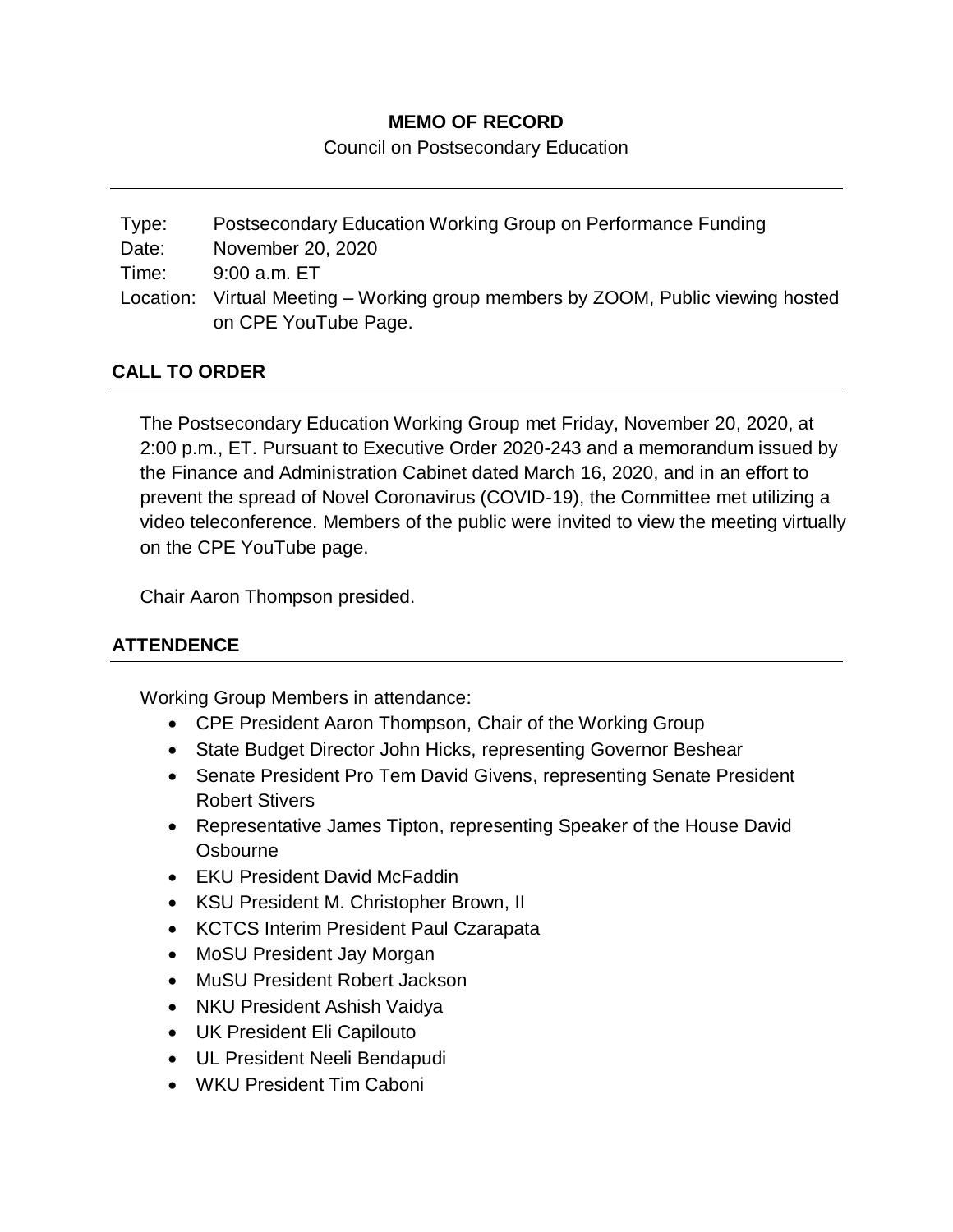## **MEMO OF RECORD**

Council on Postsecondary Education

Type: Postsecondary Education Working Group on Performance Funding Date: November 20, 2020 Time: 9:00 a.m. ET Location: Virtual Meeting – Working group members by ZOOM, Public viewing hosted on CPE YouTube Page.

## **CALL TO ORDER**

The Postsecondary Education Working Group met Friday, November 20, 2020, at 2:00 p.m., ET. Pursuant to Executive Order 2020-243 and a memorandum issued by the Finance and Administration Cabinet dated March 16, 2020, and in an effort to prevent the spread of Novel Coronavirus (COVID-19), the Committee met utilizing a video teleconference. Members of the public were invited to view the meeting virtually on the CPE YouTube page.

Chair Aaron Thompson presided.

# **ATTENDENCE**

Working Group Members in attendance:

- CPE President Aaron Thompson, Chair of the Working Group
- State Budget Director John Hicks, representing Governor Beshear
- Senate President Pro Tem David Givens, representing Senate President Robert Stivers
- Representative James Tipton, representing Speaker of the House David **Osbourne**
- EKU President David McFaddin
- KSU President M. Christopher Brown, II
- KCTCS Interim President Paul Czarapata
- MoSU President Jay Morgan
- MuSU President Robert Jackson
- NKU President Ashish Vaidya
- UK President Eli Capilouto
- UL President Neeli Bendapudi
- WKU President Tim Caboni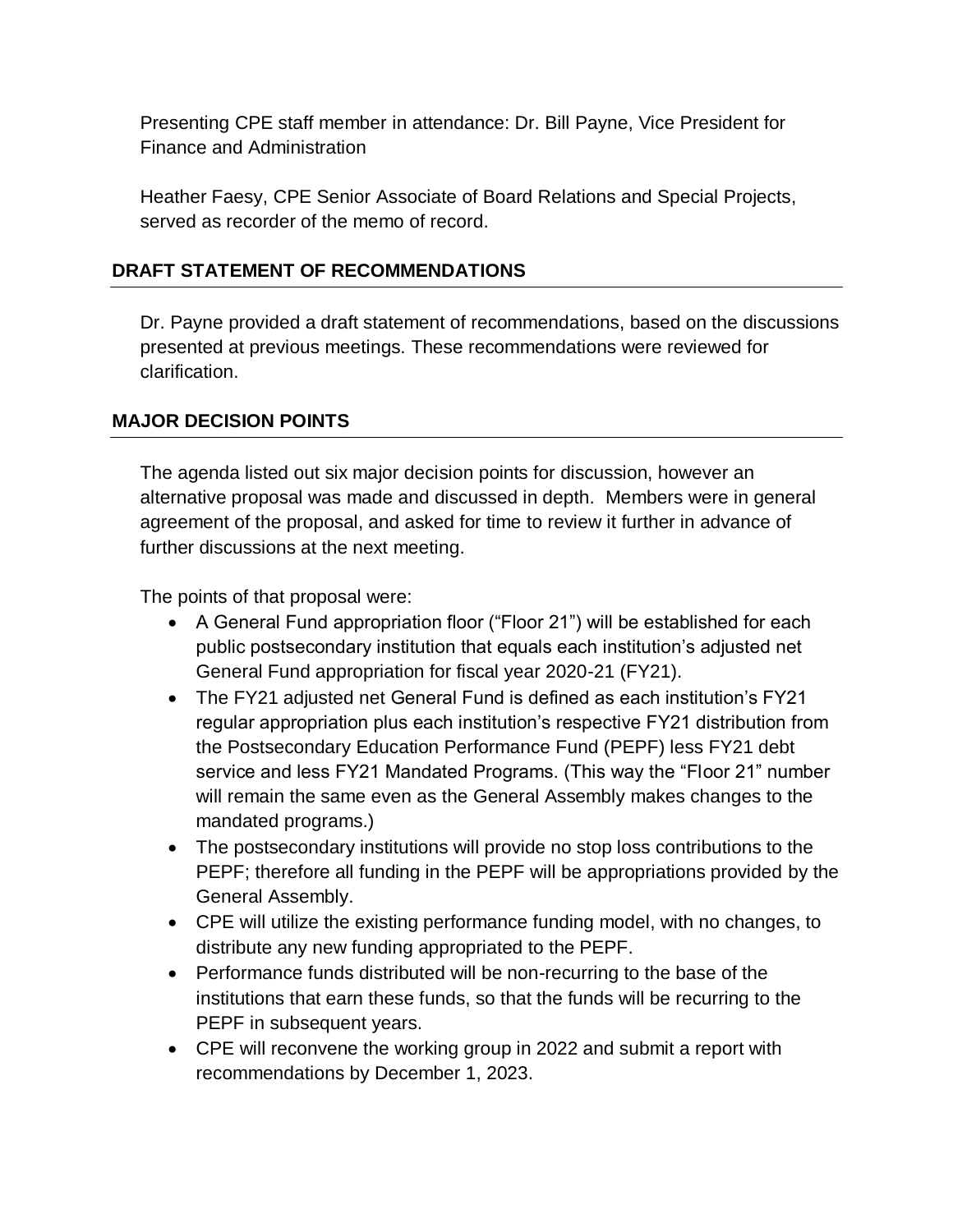Presenting CPE staff member in attendance: Dr. Bill Payne, Vice President for Finance and Administration

Heather Faesy, CPE Senior Associate of Board Relations and Special Projects, served as recorder of the memo of record.

### **DRAFT STATEMENT OF RECOMMENDATIONS**

Dr. Payne provided a draft statement of recommendations, based on the discussions presented at previous meetings. These recommendations were reviewed for clarification.

# **MAJOR DECISION POINTS**

The agenda listed out six major decision points for discussion, however an alternative proposal was made and discussed in depth. Members were in general agreement of the proposal, and asked for time to review it further in advance of further discussions at the next meeting.

The points of that proposal were:

- A General Fund appropriation floor ("Floor 21") will be established for each public postsecondary institution that equals each institution's adjusted net General Fund appropriation for fiscal year 2020-21 (FY21).
- The FY21 adjusted net General Fund is defined as each institution's FY21 regular appropriation plus each institution's respective FY21 distribution from the Postsecondary Education Performance Fund (PEPF) less FY21 debt service and less FY21 Mandated Programs. (This way the "Floor 21" number will remain the same even as the General Assembly makes changes to the mandated programs.)
- The postsecondary institutions will provide no stop loss contributions to the PEPF; therefore all funding in the PEPF will be appropriations provided by the General Assembly.
- CPE will utilize the existing performance funding model, with no changes, to distribute any new funding appropriated to the PEPF.
- Performance funds distributed will be non-recurring to the base of the institutions that earn these funds, so that the funds will be recurring to the PEPF in subsequent years.
- CPE will reconvene the working group in 2022 and submit a report with recommendations by December 1, 2023.